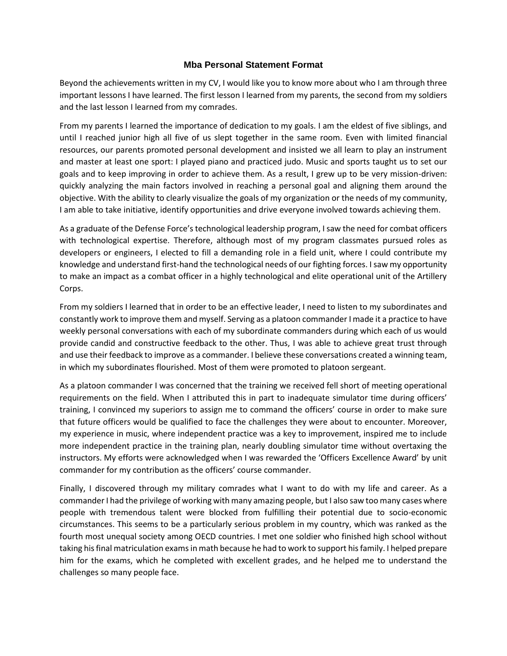## **Mba Personal Statement Format**

Beyond the achievements written in my CV, I would like you to know more about who I am through three important lessons I have learned. The first lesson I learned from my parents, the second from my soldiers and the last lesson I learned from my comrades.

From my parents I learned the importance of dedication to my goals. I am the eldest of five siblings, and until I reached junior high all five of us slept together in the same room. Even with limited financial resources, our parents promoted personal development and insisted we all learn to play an instrument and master at least one sport: I played piano and practiced judo. Music and sports taught us to set our goals and to keep improving in order to achieve them. As a result, I grew up to be very mission-driven: quickly analyzing the main factors involved in reaching a personal goal and aligning them around the objective. With the ability to clearly visualize the goals of my organization or the needs of my community, I am able to take initiative, identify opportunities and drive everyone involved towards achieving them.

As a graduate of the Defense Force's technological leadership program, I saw the need for combat officers with technological expertise. Therefore, although most of my program classmates pursued roles as developers or engineers, I elected to fill a demanding role in a field unit, where I could contribute my knowledge and understand first-hand the technological needs of our fighting forces. I saw my opportunity to make an impact as a combat officer in a highly technological and elite operational unit of the Artillery Corps.

From my soldiers I learned that in order to be an effective leader, I need to listen to my subordinates and constantly work to improve them and myself. Serving as a platoon commander I made it a practice to have weekly personal conversations with each of my subordinate commanders during which each of us would provide candid and constructive feedback to the other. Thus, I was able to achieve great trust through and use their feedback to improve as a commander. I believe these conversations created a winning team, in which my subordinates flourished. Most of them were promoted to platoon sergeant.

As a platoon commander I was concerned that the training we received fell short of meeting operational requirements on the field. When I attributed this in part to inadequate simulator time during officers' training, I convinced my superiors to assign me to command the officers' course in order to make sure that future officers would be qualified to face the challenges they were about to encounter. Moreover, my experience in music, where independent practice was a key to improvement, inspired me to include more independent practice in the training plan, nearly doubling simulator time without overtaxing the instructors. My efforts were acknowledged when I was rewarded the 'Officers Excellence Award' by unit commander for my contribution as the officers' course commander.

Finally, I discovered through my military comrades what I want to do with my life and career. As a commander I had the privilege of working with many amazing people, but I also saw too many cases where people with tremendous talent were blocked from fulfilling their potential due to socio-economic circumstances. This seems to be a particularly serious problem in my country, which was ranked as the fourth most unequal society among OECD countries. I met one soldier who finished high school without taking his final matriculation exams in math because he had to work to support his family. I helped prepare him for the exams, which he completed with excellent grades, and he helped me to understand the challenges so many people face.